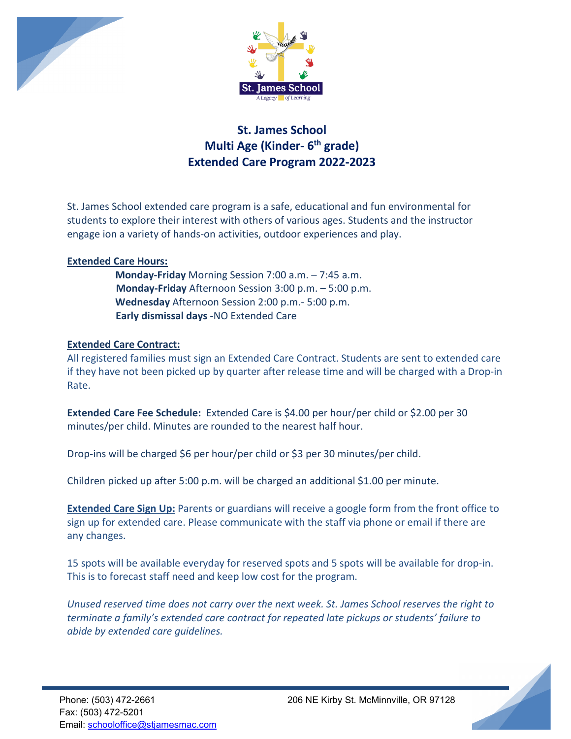



## **St. James School Multi Age (Kinder- 6th grade) Extended Care Program 2022-2023**

St. James School extended care program is a safe, educational and fun environmental for students to explore their interest with others of various ages. Students and the instructor engage ion a variety of hands-on activities, outdoor experiences and play.

## **Extended Care Hours:**

 **Monday-Friday** Morning Session 7:00 a.m. – 7:45 a.m. **Monday-Friday** Afternoon Session 3:00 p.m. – 5:00 p.m. **Wednesday** Afternoon Session 2:00 p.m.- 5:00 p.m. **Early dismissal days -**NO Extended Care

## **Extended Care Contract:**

All registered families must sign an Extended Care Contract. Students are sent to extended care if they have not been picked up by quarter after release time and will be charged with a Drop-in Rate.

**Extended Care Fee Schedule:** Extended Care is \$4.00 per hour/per child or \$2.00 per 30 minutes/per child. Minutes are rounded to the nearest half hour.

Drop-ins will be charged \$6 per hour/per child or \$3 per 30 minutes/per child.

Children picked up after 5:00 p.m. will be charged an additional \$1.00 per minute.

**Extended Care Sign Up:** Parents or guardians will receive a google form from the front office to sign up for extended care. Please communicate with the staff via phone or email if there are any changes.

15 spots will be available everyday for reserved spots and 5 spots will be available for drop-in. This is to forecast staff need and keep low cost for the program.

*Unused reserved time does not carry over the next week. St. James School reserves the right to terminate a family's extended care contract for repeated late pickups or students' failure to abide by extended care guidelines.*